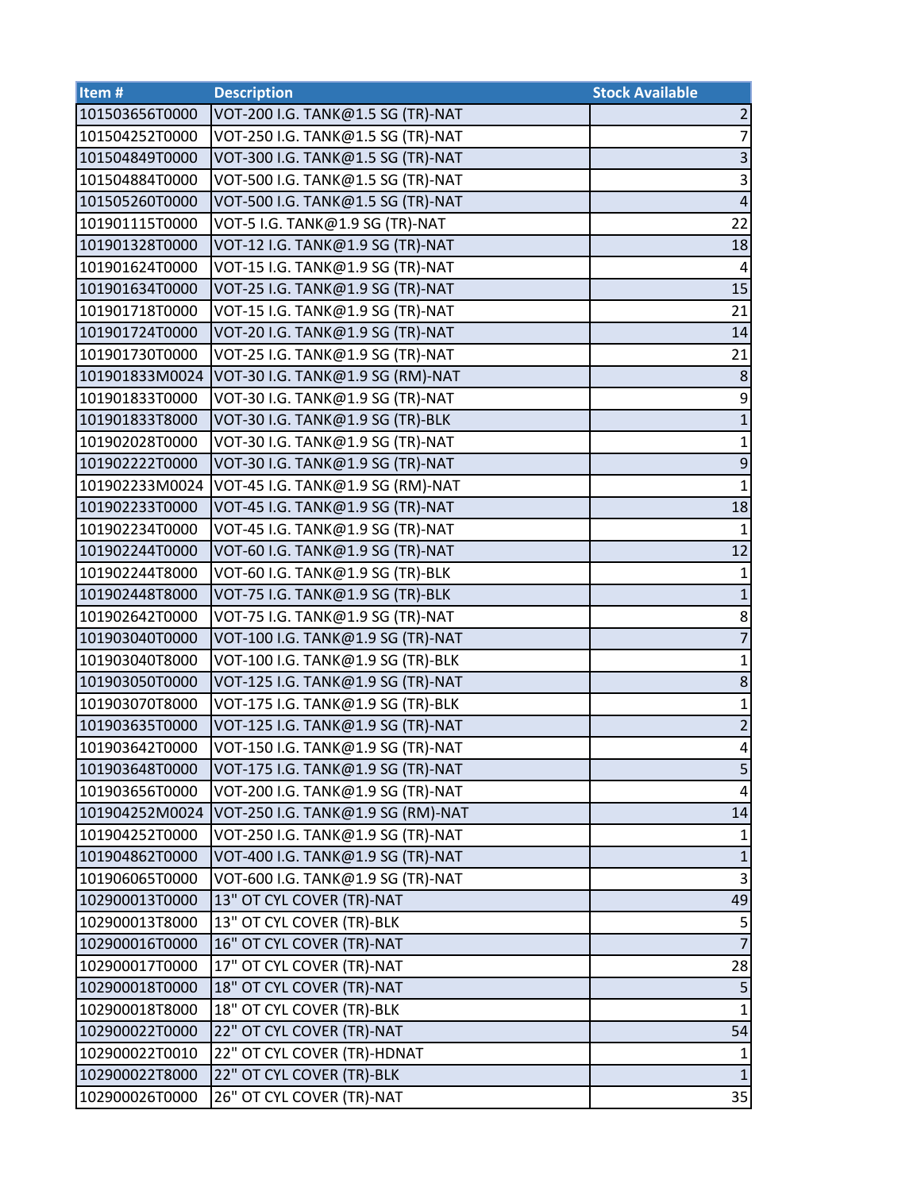| Item#          | <b>Description</b>                | <b>Stock Available</b> |
|----------------|-----------------------------------|------------------------|
| 101503656T0000 | VOT-200 I.G. TANK@1.5 SG (TR)-NAT | $\overline{2}$         |
| 101504252T0000 | VOT-250 I.G. TANK@1.5 SG (TR)-NAT | $\overline{7}$         |
| 101504849T0000 | VOT-300 I.G. TANK@1.5 SG (TR)-NAT | $\overline{3}$         |
| 101504884T0000 | VOT-500 I.G. TANK@1.5 SG (TR)-NAT | $\overline{3}$         |
| 101505260T0000 | VOT-500 I.G. TANK@1.5 SG (TR)-NAT | $\overline{4}$         |
| 101901115T0000 | VOT-5 I.G. TANK@1.9 SG (TR)-NAT   | 22                     |
| 101901328T0000 | VOT-12 I.G. TANK@1.9 SG (TR)-NAT  | 18                     |
| 101901624T0000 | VOT-15 I.G. TANK@1.9 SG (TR)-NAT  | 4                      |
| 101901634T0000 | VOT-25 I.G. TANK@1.9 SG (TR)-NAT  | 15                     |
| 101901718T0000 | VOT-15 I.G. TANK@1.9 SG (TR)-NAT  | 21                     |
| 101901724T0000 | VOT-20 I.G. TANK@1.9 SG (TR)-NAT  | 14                     |
| 101901730T0000 | VOT-25 I.G. TANK@1.9 SG (TR)-NAT  | 21                     |
| 101901833M0024 | VOT-30 I.G. TANK@1.9 SG (RM)-NAT  | $\,8\,$                |
| 101901833T0000 | VOT-30 I.G. TANK@1.9 SG (TR)-NAT  | 9                      |
| 101901833T8000 | VOT-30 I.G. TANK@1.9 SG (TR)-BLK  | $\overline{1}$         |
| 101902028T0000 | VOT-30 I.G. TANK@1.9 SG (TR)-NAT  | $\mathbf{1}$           |
| 101902222T0000 | VOT-30 I.G. TANK@1.9 SG (TR)-NAT  | $\mathsf 9$            |
| 101902233M0024 | VOT-45 I.G. TANK@1.9 SG (RM)-NAT  | $\mathbf{1}$           |
| 101902233T0000 | VOT-45 I.G. TANK@1.9 SG (TR)-NAT  | 18                     |
| 101902234T0000 | VOT-45 I.G. TANK@1.9 SG (TR)-NAT  | $\mathbf{1}$           |
| 101902244T0000 | VOT-60 I.G. TANK@1.9 SG (TR)-NAT  | 12                     |
| 101902244T8000 | VOT-60 I.G. TANK@1.9 SG (TR)-BLK  | $\mathbf{1}$           |
| 101902448T8000 | VOT-75 I.G. TANK@1.9 SG (TR)-BLK  | $\mathbf{1}$           |
| 101902642T0000 | VOT-75 I.G. TANK@1.9 SG (TR)-NAT  | 8                      |
| 101903040T0000 | VOT-100 I.G. TANK@1.9 SG (TR)-NAT | $\overline{7}$         |
| 101903040T8000 | VOT-100 I.G. TANK@1.9 SG (TR)-BLK | $\mathbf{1}$           |
| 101903050T0000 | VOT-125 I.G. TANK@1.9 SG (TR)-NAT | $\bf 8$                |
| 101903070T8000 | VOT-175 I.G. TANK@1.9 SG (TR)-BLK | $\mathbf 1$            |
| 101903635T0000 | VOT-125 I.G. TANK@1.9 SG (TR)-NAT | $\overline{2}$         |
| 101903642T0000 | VOT-150 I.G. TANK@1.9 SG (TR)-NAT | $\overline{4}$         |
| 101903648T0000 | VOT-175 I.G. TANK@1.9 SG (TR)-NAT | 5 <sub>l</sub>         |
| 101903656T0000 | VOT-200 I.G. TANK@1.9 SG (TR)-NAT | $\overline{4}$         |
| 101904252M0024 | VOT-250 I.G. TANK@1.9 SG (RM)-NAT | 14                     |
| 101904252T0000 | VOT-250 I.G. TANK@1.9 SG (TR)-NAT | $\mathbf{1}$           |
| 101904862T0000 | VOT-400 I.G. TANK@1.9 SG (TR)-NAT | $\mathbf 1$            |
| 101906065T0000 | VOT-600 I.G. TANK@1.9 SG (TR)-NAT | 3                      |
| 102900013T0000 | 13" OT CYL COVER (TR)-NAT         | 49                     |
| 102900013T8000 | 13" OT CYL COVER (TR)-BLK         | 5                      |
| 102900016T0000 | 16" OT CYL COVER (TR)-NAT         | $\overline{7}$         |
| 102900017T0000 | 17" OT CYL COVER (TR)-NAT         | 28                     |
| 102900018T0000 | 18" OT CYL COVER (TR)-NAT         | $\mathsf S$            |
| 102900018T8000 | 18" OT CYL COVER (TR)-BLK         | $\mathbf{1}$           |
| 102900022T0000 | 22" OT CYL COVER (TR)-NAT         | 54                     |
| 102900022T0010 | 22" OT CYL COVER (TR)-HDNAT       | $\mathbf{1}$           |
| 102900022T8000 | 22" OT CYL COVER (TR)-BLK         | $\mathbf{1}$           |
| 102900026T0000 | 26" OT CYL COVER (TR)-NAT         | 35                     |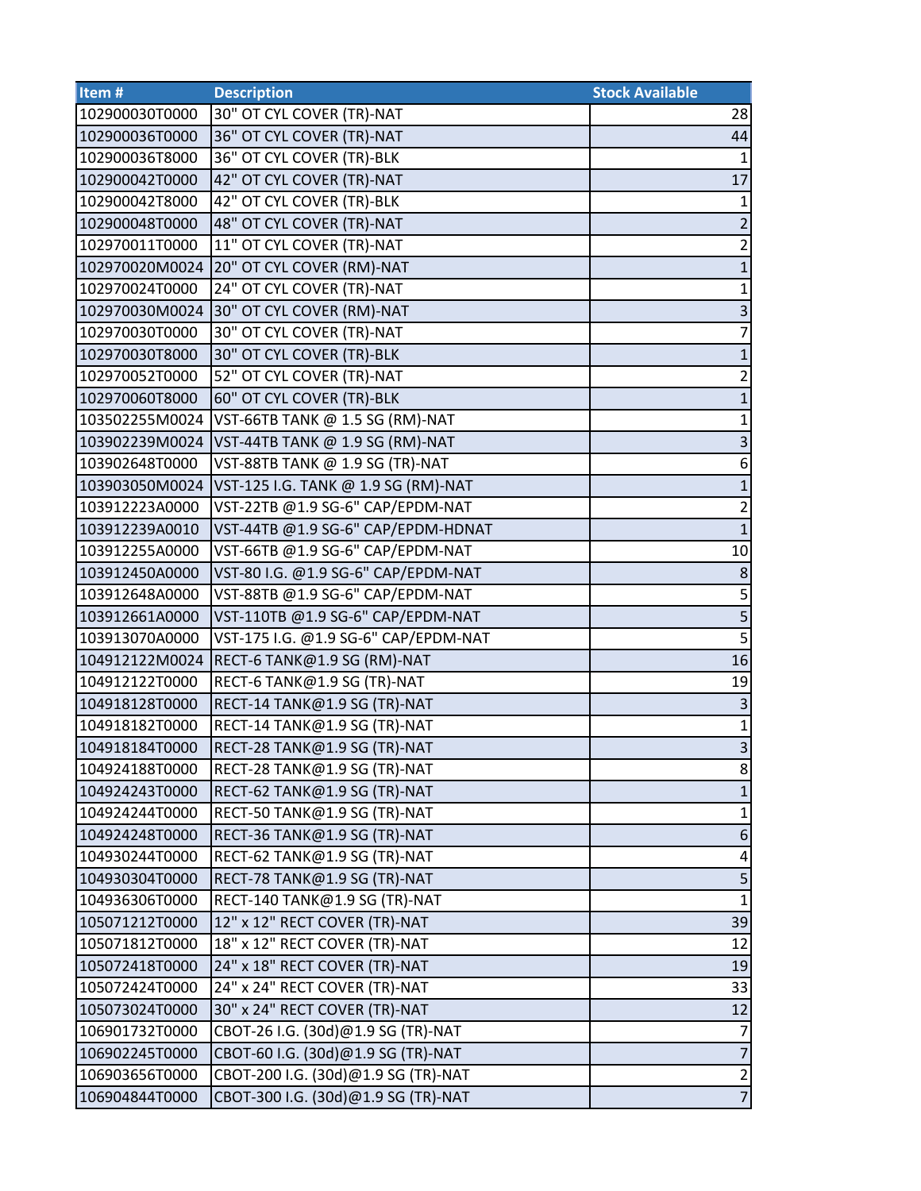| Item <sup>#</sup> | <b>Description</b>                   | <b>Stock Available</b>  |
|-------------------|--------------------------------------|-------------------------|
| 102900030T0000    | 30" OT CYL COVER (TR)-NAT            | 28                      |
| 102900036T0000    | 36" OT CYL COVER (TR)-NAT            | 44                      |
| 102900036T8000    | 36" OT CYL COVER (TR)-BLK            | $\mathbf{1}$            |
| 102900042T0000    | 42" OT CYL COVER (TR)-NAT            | 17                      |
| 102900042T8000    | 42" OT CYL COVER (TR)-BLK            | $\mathbf{1}$            |
| 102900048T0000    | 48" OT CYL COVER (TR)-NAT            | $\overline{2}$          |
| 102970011T0000    | 11" OT CYL COVER (TR)-NAT            | $\overline{2}$          |
| 102970020M0024    | 20" OT CYL COVER (RM)-NAT            | $\mathbf 1$             |
| 102970024T0000    | 24" OT CYL COVER (TR)-NAT            | $\mathbf 1$             |
| 102970030M0024    | 30" OT CYL COVER (RM)-NAT            | $\overline{3}$          |
| 102970030T0000    | 30" OT CYL COVER (TR)-NAT            | $\overline{7}$          |
| 102970030T8000    | 30" OT CYL COVER (TR)-BLK            | $\mathbf 1$             |
| 102970052T0000    | 52" OT CYL COVER (TR)-NAT            | $\overline{2}$          |
| 102970060T8000    | 60" OT CYL COVER (TR)-BLK            | $\mathbf 1$             |
| 103502255M0024    | VST-66TB TANK @ 1.5 SG (RM)-NAT      | $\mathbf 1$             |
| 103902239M0024    | VST-44TB TANK @ 1.9 SG (RM)-NAT      | 3                       |
| 103902648T0000    | VST-88TB TANK @ 1.9 SG (TR)-NAT      | 6                       |
| 103903050M0024    | VST-125 I.G. TANK @ 1.9 SG (RM)-NAT  | $\mathbf 1$             |
| 103912223A0000    | VST-22TB @1.9 SG-6" CAP/EPDM-NAT     | $\overline{2}$          |
| 103912239A0010    | VST-44TB @1.9 SG-6" CAP/EPDM-HDNAT   | $\mathbf{1}$            |
| 103912255A0000    | VST-66TB @1.9 SG-6" CAP/EPDM-NAT     | 10                      |
| 103912450A0000    | VST-80 I.G. @1.9 SG-6" CAP/EPDM-NAT  | $\,8\,$                 |
| 103912648A0000    | VST-88TB @1.9 SG-6" CAP/EPDM-NAT     | 5                       |
| 103912661A0000    | VST-110TB @1.9 SG-6" CAP/EPDM-NAT    | $\overline{\mathbf{5}}$ |
| 103913070A0000    | VST-175 I.G. @1.9 SG-6" CAP/EPDM-NAT | $\overline{5}$          |
| 104912122M0024    | RECT-6 TANK@1.9 SG (RM)-NAT          | 16                      |
| 104912122T0000    | RECT-6 TANK@1.9 SG (TR)-NAT          | 19                      |
| 104918128T0000    | RECT-14 TANK@1.9 SG (TR)-NAT         | $\overline{\mathbf{3}}$ |
| 104918182T0000    | RECT-14 TANK@1.9 SG (TR)-NAT         | $\mathbf{1}$            |
| 104918184T0000    | RECT-28 TANK@1.9 SG (TR)-NAT         | $\overline{3}$          |
| 104924188T0000    | RECT-28 TANK@1.9 SG (TR)-NAT         | 8                       |
| 104924243T0000    | RECT-62 TANK@1.9 SG (TR)-NAT         | $\mathbf{1}$            |
| 104924244T0000    | RECT-50 TANK@1.9 SG (TR)-NAT         | $\mathbf 1$             |
| 104924248T0000    | RECT-36 TANK@1.9 SG (TR)-NAT         | $\boldsymbol{6}$        |
| 104930244T0000    | RECT-62 TANK@1.9 SG (TR)-NAT         | 4                       |
| 104930304T0000    | RECT-78 TANK@1.9 SG (TR)-NAT         | $\overline{\mathbf{5}}$ |
| 104936306T0000    | RECT-140 TANK@1.9 SG (TR)-NAT        | $\mathbf{1}$            |
| 105071212T0000    | 12" x 12" RECT COVER (TR)-NAT        | 39                      |
| 105071812T0000    | 18" x 12" RECT COVER (TR)-NAT        | 12                      |
| 105072418T0000    | 24" x 18" RECT COVER (TR)-NAT        | 19                      |
| 105072424T0000    | 24" x 24" RECT COVER (TR)-NAT        | 33                      |
| 105073024T0000    | 30" x 24" RECT COVER (TR)-NAT        | 12                      |
| 106901732T0000    | CBOT-26 I.G. (30d)@1.9 SG (TR)-NAT   | $\overline{7}$          |
| 106902245T0000    | CBOT-60 I.G. (30d)@1.9 SG (TR)-NAT   | $\overline{7}$          |
| 106903656T0000    | CBOT-200 I.G. (30d)@1.9 SG (TR)-NAT  | $\frac{2}{7}$           |
| 106904844T0000    | CBOT-300 I.G. (30d)@1.9 SG (TR)-NAT  |                         |